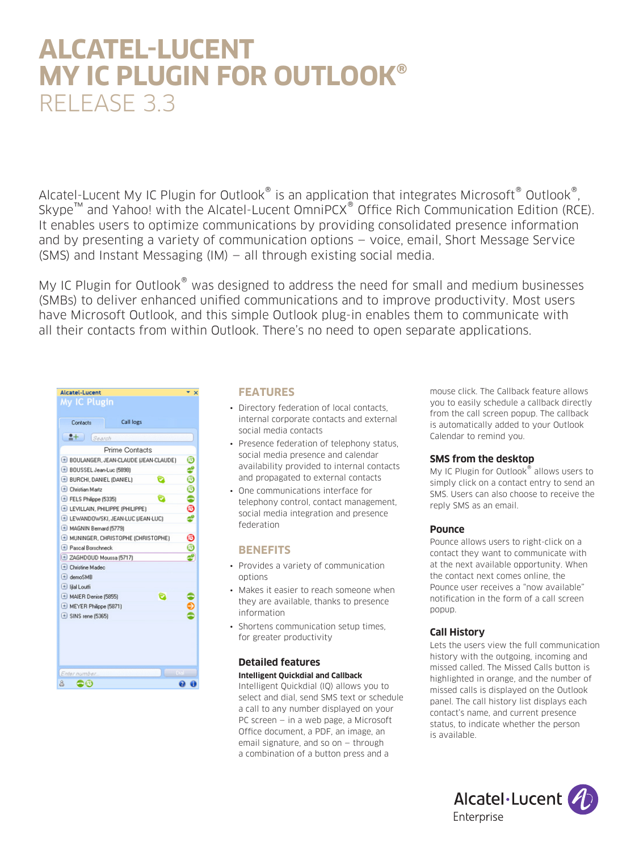# **ALCATEL-LUCENT MY IC PLUGIN FOR OUTLOOK®** RELEASE 3.3

Alcatel-Lucent My IC Plugin for Outlook<sup>®</sup> is an application that integrates Microsoft<sup>®</sup> Outlook<sup>®</sup>. Skype™ and Yahoo! with the Alcatel-Lucent OmniPCX® Office Rich Communication Edition (RCE). It enables users to optimize communications by providing consolidated presence information and by presenting a variety of communication options — voice, email, Short Message Service (SMS) and Instant Messaging (IM) — all through existing social media.

My IC Plugin for Outlook<sup>®</sup> was designed to address the need for small and medium businesses (SMBs) to deliver enhanced unified communications and to improve productivity. Most users have Microsoft Outlook, and this simple Outlook plug-in enables them to communicate with all their contacts from within Outlook. There's no need to open separate applications.

| Alcatel-Lucent<br>My IC Plugin        | $\mathbf x$      |
|---------------------------------------|------------------|
| Call logs<br>Contacts                 |                  |
| $2+$<br>Search                        |                  |
| Prime Contacts                        |                  |
| BOULANGER, JEAN-CLAUDE (JEAN-CLAUDE)  | ©                |
| + BOUSSEL Jean-Luc (5898)             |                  |
| <b>E BURCHI, DANIEL (DANIEL)</b><br>◡ |                  |
| (+) Christian Martz                   | $\bullet$ 0000\$ |
| E FELS Philippe (5335)<br>ø           |                  |
| E LEVILLAIN, PHILIPPE (PHILIPPE)      |                  |
| E LEWANDOWSKI, JEAN-LUC (JEAN-LUC)    |                  |
| + MAGNIN Bernard (5779)               |                  |
| MUNINGER, CHRISTOPHE (CHRISTOPHE)     | $^{\circ}$       |
| + Pascal Borschneck                   | é                |
| E ZAGHDOUD Moussa (5717)              |                  |
| (+) Christine Madec                   |                  |
| $\leftarrow$ demoSMB                  |                  |
| $\Box$ lilal Loutfi                   |                  |
| [+] MAIER Denise (5855)               |                  |
| MEYER Philippe (5871)                 |                  |
| $\triangle$ SINS rene (5365)          |                  |
|                                       |                  |
|                                       |                  |
|                                       |                  |
|                                       |                  |
| Enter number.                         |                  |
| 8<br>-6                               |                  |

#### **FEATURES**

- Directory federation of local contacts, internal corporate contacts and external social media contacts
- Presence federation of telephony status, social media presence and calendar availability provided to internal contacts and propagated to external contacts
- One communications interface for telephony control, contact management, social media integration and presence federation

### **BENEFITS**

- Provides a variety of communication options
- Makes it easier to reach someone when they are available, thanks to presence information
- Shortens communication setup times, for greater productivity

### **Detailed features Intelligent Quickdial and Callback**

Intelligent Quickdial (IQ) allows you to select and dial, send SMS text or schedule a call to any number displayed on your PC screen — in a web page, a Microsoft Office document, a PDF, an image, an email signature, and so on — through a combination of a button press and a

mouse click. The Callback feature allows you to easily schedule a callback directly from the call screen popup. The callback is automatically added to your Outlook Calendar to remind you.

### **SMS from the desktop**

My IC Plugin for Outlook<sup>®</sup> allows users to simply click on a contact entry to send an SMS. Users can also choose to receive the reply SMS as an email.

### **Pounce**

Pounce allows users to right-click on a contact they want to communicate with at the next available opportunity. When the contact next comes online, the Pounce user receives a "now available" notification in the form of a call screen popup.

### **Call History**

Lets the users view the full communication history with the outgoing, incoming and missed called. The Missed Calls button is highlighted in orange, and the number of missed calls is displayed on the Outlook panel. The call history list displays each contact's name, and current presence status, to indicate whether the person is available.